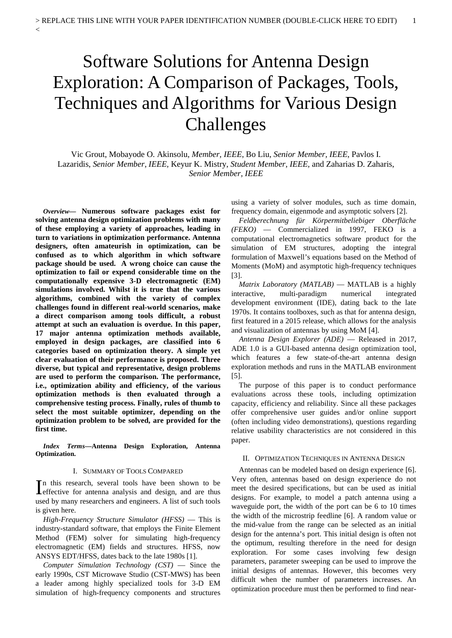# Software Solutions for Antenna Design Exploration: A Comparison of Packages, Tools, Techniques and Algorithms for Various Design Challenges

Vic Grout, Mobayode O. Akinsolu, *Member, IEEE*, Bo Liu, *Senior Member, IEEE*, Pavlos I. Lazaridis, *Senior Member, IEEE,* Keyur K. Mistry, *Student Member, IEEE,* and Zaharias D. Zaharis, *Senior Member, IEEE*

*Overview***— Numerous software packages exist for solving antenna design optimization problems with many of these employing a variety of approaches, leading in turn to variations in optimization performance. Antenna designers, often amateurish in optimization, can be confused as to which algorithm in which software package should be used. A wrong choice can cause the optimization to fail or expend considerable time on the computationally expensive 3-D electromagnetic (EM) simulations involved. Whilst it is true that the various algorithms, combined with the variety of complex challenges found in different real-world scenarios, make a direct comparison among tools difficult, a robust attempt at such an evaluation is overdue. In this paper, 17 major antenna optimization methods available, employed in design packages, are classified into 6 categories based on optimization theory. A simple yet clear evaluation of their performance is proposed. Three diverse, but typical and representative, design problems are used to perform the comparison. The performance, i.e., optimization ability and efficiency, of the various optimization methods is then evaluated through a comprehensive testing process. Finally, rules of thumb to select the most suitable optimizer, depending on the optimization problem to be solved, are provided for the first time.**

 $\lt$ 

*Index Terms***—Antenna Design Exploration, Antenna Optimization.** 

#### I. SUMMARY OF TOOLS COMPARED

n this research, several tools have been shown to be In this research, several tools have been shown to be defective for antenna analysis and design, and are thus used by many researchers and engineers. A list of such tools is given here.

*High-Frequency Structure Simulator (HFSS)* — This is industry-standard software, that employs the Finite Element Method (FEM) solver for simulating high-frequency electromagnetic (EM) fields and structures. HFSS, now ANSYS EDT/HFSS, dates back to the late 1980s [1].

*Computer Simulation Technology (CST)* — Since the early 1990s, CST Microwave Studio (CST-MWS) has been a leader among highly specialized tools for 3-D EM simulation of high-frequency components and structures using a variety of solver modules, such as time domain, frequency domain, eigenmode and asymptotic solvers [2].

*Feldberechnung für Körpermitbeliebiger Oberfläche (FEKO)* — Commercialized in 1997, FEKO is a computational electromagnetics software product for the simulation of EM structures, adopting the integral formulation of Maxwell's equations based on the Method of Moments (MoM) and asymptotic high-frequency techniques [3].

*Matrix Laboratory (MATLAB)* — MATLAB is a highly interactive, multi-paradigm numerical integrated development environment (IDE), dating back to the late 1970s. It contains toolboxes, such as that for antenna design, first featured in a 2015 release, which allows for the analysis and visualization of antennas by using MoM [4].

*Antenna Design Explorer (ADE)* — Released in 2017, ADE 1.0 is a GUI-based antenna design optimization tool, which features a few state-of-the-art antenna design exploration methods and runs in the MATLAB environment [5].

The purpose of this paper is to conduct performance evaluations across these tools, including optimization capacity, efficiency and reliability. Since all these packages offer comprehensive user guides and/or online support (often including video demonstrations), questions regarding relative usability characteristics are not considered in this paper.

# II. OPTIMIZATION TECHNIQUES IN ANTENNA DESIGN

Antennas can be modeled based on design experience [6]. Very often, antennas based on design experience do not meet the desired specifications, but can be used as initial designs. For example, to model a patch antenna using a waveguide port, the width of the port can be 6 to 10 times the width of the microstrip feedline [6]. A random value or the mid-value from the range can be selected as an initial design for the antenna's port. This initial design is often not the optimum, resulting therefore in the need for design exploration. For some cases involving few design parameters, parameter sweeping can be used to improve the initial designs of antennas. However, this becomes very difficult when the number of parameters increases. An optimization procedure must then be performed to find near-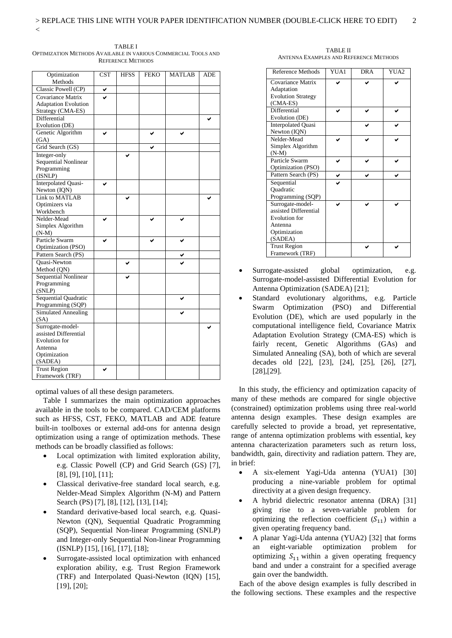| Optimization<br>Methods                         | <b>CST</b> | <b>HFSS</b> | <b>FEKO</b> | <b>MATLAB</b> | <b>ADE</b> |
|-------------------------------------------------|------------|-------------|-------------|---------------|------------|
| Classic Powell (CP)                             |            |             |             |               |            |
| Covariance Matrix                               |            |             |             |               |            |
| <b>Adaptation Evolution</b>                     |            |             |             |               |            |
| Strategy (CMA-ES)                               |            |             |             |               |            |
| Differential                                    |            |             |             |               |            |
| Evolution (DE)                                  |            |             |             |               |            |
| Genetic Algorithm                               | ◡          |             |             |               |            |
| (GA)                                            |            |             |             |               |            |
| Grid Search (GS)                                |            |             |             |               |            |
| Integer-only                                    |            |             |             |               |            |
| <b>Sequential Nonlinear</b>                     |            |             |             |               |            |
| Programming                                     |            |             |             |               |            |
| (ISNLP)                                         |            |             |             |               |            |
| <b>Interpolated Quasi-</b>                      | ✔          |             |             |               |            |
| Newton (IQN)                                    |            |             |             |               |            |
| Link to MATLAB                                  |            |             |             |               |            |
| Optimizers via                                  |            |             |             |               |            |
| Workbench                                       |            |             |             |               |            |
| Nelder-Mead                                     |            |             |             |               |            |
| Simplex Algorithm                               |            |             |             |               |            |
| $(N-M)$                                         |            |             |             |               |            |
| Particle Swarm                                  |            |             |             |               |            |
| Optimization (PSO)                              |            |             |             |               |            |
| Pattern Search (PS)                             |            |             |             |               |            |
| <b>Ouasi-Newton</b>                             |            |             |             |               |            |
| Method (QN)                                     |            |             |             |               |            |
| Sequential Nonlinear                            |            |             |             |               |            |
| Programming                                     |            |             |             |               |            |
| (SNLP)<br>Sequential Quadratic                  |            |             |             |               |            |
|                                                 |            |             |             |               |            |
| Programming (SQP)<br><b>Simulated Annealing</b> |            |             |             |               |            |
| (SA)                                            |            |             |             |               |            |
| Surrogate-model-                                |            |             |             |               |            |
| assisted Differential                           |            |             |             |               |            |
| <b>Evolution</b> for                            |            |             |             |               |            |
| Antenna                                         |            |             |             |               |            |
| Optimization                                    |            |             |             |               |            |
| (SADEA)                                         |            |             |             |               |            |
| <b>Trust Region</b>                             |            |             |             |               |            |
| Framework (TRF)                                 |            |             |             |               |            |

TABLE I OPTIMIZATION METHODS AVAILABLE IN VARIOUS COMMERCIAL TOOLS AND REFERENCE METHODS

optimal values of all these design parameters.

Table I summarizes the main optimization approaches available in the tools to be compared. CAD/CEM platforms such as HFSS, CST, FEKO, MATLAB and ADE feature built-in toolboxes or external add-ons for antenna design optimization using a range of optimization methods. These methods can be broadly classified as follows:

- Local optimization with limited exploration ability, e.g. Classic Powell (CP) and Grid Search (GS) [7], [8], [9], [10], [11];
- Classical derivative-free standard local search, e.g. Nelder-Mead Simplex Algorithm (N-M) and Pattern Search (PS) [7], [8], [12], [13], [14];
- Standard derivative-based local search, e.g. Quasi-Newton (QN), Sequential Quadratic Programming (SQP), Sequential Non-linear Programming (SNLP) and Integer-only Sequential Non-linear Programming (ISNLP) [15], [16], [17], [18];
- Surrogate-assisted local optimization with enhanced exploration ability, e.g. Trust Region Framework (TRF) and Interpolated Quasi-Newton (IQN) [15], [19], [20];

TABLE II ANTENNA EXAMPLES AND REFERENCE METHODS

| Reference Methods         | YUA1 | <b>DRA</b> | YUA2 |
|---------------------------|------|------------|------|
| Covariance Matrix         |      |            |      |
| Adaptation                |      |            |      |
| <b>Evolution Strategy</b> |      |            |      |
| (CMA-ES)                  |      |            |      |
| Differential              |      |            |      |
| Evolution (DE)            |      |            |      |
| <b>Interpolated Quasi</b> |      |            |      |
| Newton (IQN)              |      |            |      |
| Nelder-Mead               |      |            |      |
| Simplex Algorithm         |      |            |      |
| $(N-M)$                   |      |            |      |
| Particle Swarm            |      |            |      |
| Optimization (PSO)        |      |            |      |
| Pattern Search (PS)       | ✓    | ✔          |      |
| Sequential                |      |            |      |
| Ouadratic                 |      |            |      |
| Programming (SQP)         |      |            |      |
| Surrogate-model-          |      |            |      |
| assisted Differential     |      |            |      |
| Evolution for             |      |            |      |
| Antenna                   |      |            |      |
| Optimization              |      |            |      |
| (SADEA)                   |      |            |      |
| <b>Trust Region</b>       |      |            |      |
| Framework (TRF)           |      |            |      |

- Surrogate-assisted global optimization, e.g. Surrogate-model-assisted Differential Evolution for Antenna Optimization (SADEA) [21];
- Standard evolutionary algorithms, e.g. Particle Swarm Optimization (PSO) and Differential Evolution (DE), which are used popularly in the computational intelligence field, Covariance Matrix Adaptation Evolution Strategy (CMA-ES) which is fairly recent, Genetic Algorithms (GAs) and Simulated Annealing (SA), both of which are several decades old [22], [23], [24], [25], [26], [27], [28],[29].

In this study, the efficiency and optimization capacity of many of these methods are compared for single objective (constrained) optimization problems using three real-world antenna design examples. These design examples are carefully selected to provide a broad, yet representative, range of antenna optimization problems with essential, key antenna characterization parameters such as return loss, bandwidth, gain, directivity and radiation pattern. They are, in brief:

- A six-element Yagi-Uda antenna (YUA1) [30] producing a nine-variable problem for optimal directivity at a given design frequency.
- A hybrid dielectric resonator antenna (DRA) [31] giving rise to a seven-variable problem for optimizing the reflection coefficient  $(S_{11})$  within a given operating frequency band.
- A planar Yagi-Uda antenna (YUA2) [32] that forms an eight-variable optimization problem for optimizing  $S_{11}$  within a given operating frequency band and under a constraint for a specified average gain over the bandwidth.

Each of the above design examples is fully described in the following sections. These examples and the respective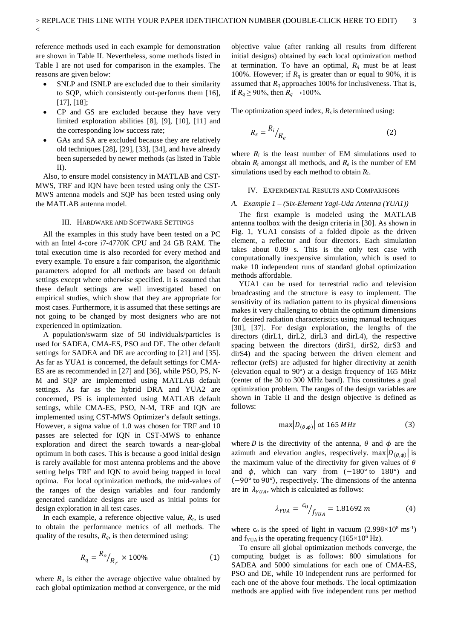reference methods used in each example for demonstration are shown in Table II. Nevertheless, some methods listed in Table I are not used for comparison in the examples. The reasons are given below:

 $\overline{<}$ 

- SNLP and ISNLP are excluded due to their similarity to SQP, which consistently out-performs them [16], [17], [18];
- CP and GS are excluded because they have very limited exploration abilities [8], [9], [10], [11] and the corresponding low success rate;
- GAs and SA are excluded because they are relatively old techniques [28], [29], [33], [34], and have already been superseded by newer methods (as listed in Table II).

Also, to ensure model consistency in MATLAB and CST-MWS, TRF and IQN have been tested using only the CST-MWS antenna models and SQP has been tested using only the MATLAB antenna model.

## III. HARDWARE AND SOFTWARE SETTINGS

All the examples in this study have been tested on a PC with an Intel 4-core i7-4770K CPU and 24 GB RAM. The total execution time is also recorded for every method and every example. To ensure a fair comparison, the algorithmic parameters adopted for all methods are based on default settings except where otherwise specified. It is assumed that these default settings are well investigated based on empirical studies, which show that they are appropriate for most cases. Furthermore, it is assumed that these settings are not going to be changed by most designers who are not experienced in optimization.

A population/swarm size of 50 individuals/particles is used for SADEA, CMA-ES, PSO and DE. The other default settings for SADEA and DE are according to [21] and [35]. As far as YUA1 is concerned, the default settings for CMA-ES are as recommended in [27] and [36], while PSO, PS, N-M and SQP are implemented using MATLAB default settings. As far as the hybrid DRA and YUA2 are concerned, PS is implemented using MATLAB default settings, while CMA-ES, PSO, N-M, TRF and IQN are implemented using CST-MWS Optimizer's default settings. However, a sigma value of 1.0 was chosen for TRF and 10 passes are selected for IQN in CST-MWS to enhance exploration and direct the search towards a near-global optimum in both cases. This is because a good initial design is rarely available for most antenna problems and the above setting helps TRF and IQN to avoid being trapped in local optima. For local optimization methods, the mid-values of the ranges of the design variables and four randomly generated candidate designs are used as initial points for design exploration in all test cases.

In each example, a reference objective value, *Rr*, is used to obtain the performance metrics of all methods. The quality of the results,  $R_q$ , is then determined using:

$$
R_q = \frac{R_o}{R_r} \times 100\% \tag{1}
$$

where  $R_0$  is either the average objective value obtained by each global optimization method at convergence, or the mid

objective value (after ranking all results from different initial designs) obtained by each local optimization method at termination. To have an optimal,  $R_q$  must be at least 100%. However; if  $R_q$  is greater than or equal to 90%, it is assumed that  $R_q$  approaches 100% for inclusiveness. That is, if *R<sub>q</sub>* ≥ 90%, then *R<sub>q</sub>* → 100%.

The optimization speed index,  $R_s$  is determined using:

$$
R_s = \frac{R_i}{R_e} \tag{2}
$$

where  $R_i$  is the least number of EM simulations used to obtain  $R_r$  amongst all methods, and  $R_e$  is the number of EM simulations used by each method to obtain *R*r.

# IV. EXPERIMENTAL RESULTS AND COMPARISONS

## *A. Example 1 – (Six-Element Yagi-Uda Antenna (YUA1))*

The first example is modeled using the MATLAB antenna toolbox with the design criteria in [30]. As shown in Fig. 1, YUA1 consists of a folded dipole as the driven element, a reflector and four directors. Each simulation takes about 0.09 s. This is the only test case with computationally inexpensive simulation, which is used to make 10 independent runs of standard global optimization methods affordable.

YUA1 can be used for terrestrial radio and television broadcasting and the structure is easy to implement. The sensitivity of its radiation pattern to its physical dimensions makes it very challenging to obtain the optimum dimensions for desired radiation characteristics using manual techniques [30], [37]. For design exploration, the lengths of the directors (dirL1, dirL2, dirL3 and dirL4), the respective spacing between the directors (dirS1, dirS2, dirS3 and dirS4) and the spacing between the driven element and reflector (refS) are adjusted for higher directivity at zenith (elevation equal to 90°) at a design frequency of 165 MHz (center of the 30 to 300 MHz band). This constitutes a goal optimization problem. The ranges of the design variables are shown in Table II and the design objective is defined as follows:

$$
\max |D_{(\theta,\phi)}| \text{ at } 165 \text{ MHz} \tag{3}
$$

where *D* is the directivity of the antenna,  $\theta$  and  $\phi$  are the azimuth and elevation angles, respectively. max $|D_{(\theta,\phi)}|$  is the maximum value of the directivity for given values of  $\theta$ and  $\phi$ , which can vary from  $(-180°)$  to  $180°$ ) and (−90° to 90°), respectively. The dimensions of the antenna are in  $\lambda_{YUA}$ , which is calculated as follows:

$$
\lambda_{YUA} = \frac{c_0}{f_{YUA}} = 1.81692 \, m \tag{4}
$$

where  $c_0$  is the speed of light in vacuum (2.998 $\times$ 10<sup>8</sup> ms<sup>-1</sup>) and  $f_{\text{YUA}}$  is the operating frequency (165×10<sup>6</sup> Hz).

To ensure all global optimization methods converge, the computing budget is as follows: 800 simulations for SADEA and 5000 simulations for each one of CMA-ES, PSO and DE, while 10 independent runs are performed for each one of the above four methods. The local optimization methods are applied with five independent runs per method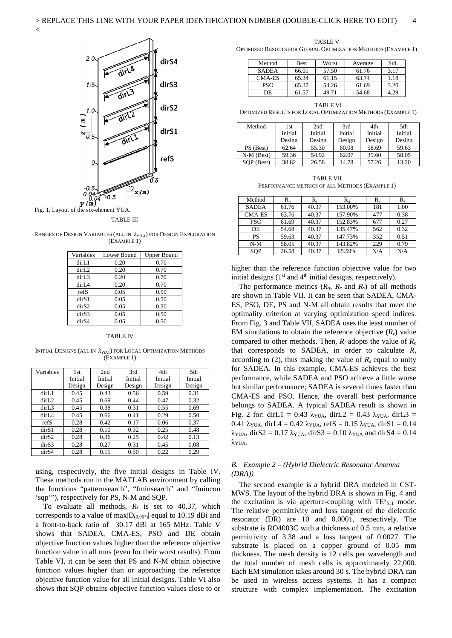

 $\lt$ 

#### TABLE III

RANGES OF DESIGN VARIABLES (ALL IN  $\lambda_{YUA}$ ) FOR DESIGN EXPLORATION (EXAMPLE 1)

| Variables         | Lower Bound | <b>Upper Bound</b> |
|-------------------|-------------|--------------------|
| dirL <sub>1</sub> | 0.20        | 0.70               |
| dirL2             | 0.20        | 0.70               |
| dirL3             | 0.20        | 0.70               |
| dirI <sub>A</sub> | 0.20        | 0.70               |
| refS              | 0.05        | 0.50               |
| dirS1             | 0.05        | 0.50               |
| dir <sub>S2</sub> | 0.05        | 0.50               |
| dir <sub>S3</sub> | 0.05        | 0.50               |
| dir <sub>S4</sub> | 0.05        | 0.50               |

#### TABLE IV

INITIAL DESIGNS (ALL IN  $\lambda_{YUA}$ ) FOR LOCAL OPTIMIZATION METHODS (EXAMPLE 1)

| Variables         | 1st     | 2nd     | 3rd     | 4th     | 5th     |
|-------------------|---------|---------|---------|---------|---------|
|                   | Initial | Initial | Initial | Initial | Initial |
|                   | Design  | Design  | Design  | Design  | Design  |
| dirL1             | 0.45    | 0.43    | 0.56    | 0.59    | 0.31    |
| dirL2             | 0.45    | 0.69    | 0.44    | 0.47    | 0.32    |
| dirL3             | 0.45    | 0.38    | 0.31    | 0.55    | 0.69    |
| dirL4             | 0.45    | 0.66    | 0.41    | 0.29    | 0.50    |
| refS              | 0.28    | 0.42    | 0.17    | 0.06    | 0.37    |
| dir <sub>S1</sub> | 0.28    | 0.10    | 0.32    | 0.25    | 0.48    |
| dirS2             | 0.28    | 0.36    | 0.25    | 0.42    | 0.13    |
| dir <sub>S3</sub> | 0.28    | 0.27    | 0.31    | 0.45    | 0.08    |
| dir <sub>S4</sub> | 0.28    | 0.15    | 0.50    | 0.22    | 0.29    |

using, respectively, the five initial designs in Table IV. These methods run in the MATLAB environment by calling the functions "patternsearch", "fminsearch" and "fmincon 'sqp'"), respectively for PS, N-M and SQP.

To evaluate all methods,  $R_r$  is set to 40.37, which corresponds to a value of max $|D_{(0,90^\circ)}|$  equal to 10.19 dBi and a front-to-back ratio of 30.17 dBi at 165 MHz. Table V shows that SADEA, CMA-ES, PSO and DE obtain objective function values higher than the reference objective function value in all runs (even for their worst results). From Table VI, it can be seen that PS and N-M obtain objective function values higher than or approaching the reference objective function value for all initial designs. Table VI also shows that SQP obtains objective function values close to or

TABLE V OPTIMIZED RESULTS FOR GLOBAL OPTIMIZATION METHODS (EXAMPLE 1)

| Method       | Best  | Worst | Average | Std. |
|--------------|-------|-------|---------|------|
| <b>SADEA</b> | 66.01 | 57.50 | 61.76   | 3.17 |
| CMA-ES       | 65.34 | 61.15 | 63.74   | 1.18 |
| PSO          | 65.37 | 54.26 | 61.69   | 3.20 |
| DE.          | 61.57 | 49.71 | 54.68   | 4.29 |

TABLE VI OPTIMIZED RESULTS FOR LOCAL OPTIMIZATION METHODS (EXAMPLE 1)

| Method       | 1st     | 2nd     | 3rd     | 4th     | 5th     |
|--------------|---------|---------|---------|---------|---------|
|              | Initial | Initial | Initial | Initial | Initial |
|              | Design  | Design  | Design  | Design  | Design  |
| PS (Best)    | 62.64   | 55.30   | 60.08   | 58.69   | 59.63   |
| $N-M$ (Best) | 59.36   | 54.92   | 62.07   | 39.60   | 58.05   |
| SOP (Best)   | 38.82   | 26.58   | 14.78   | 57.26   | 13.20   |

TABLE VII PERFORMANCE METRICS OF ALL METHODS (EXAMPLE 1)

| Method        | $R_{0}$ | $R_r$ | $R_{\alpha}$ | $R_{\rm e}$ | $R_{s}$ |
|---------------|---------|-------|--------------|-------------|---------|
| <b>SADEA</b>  | 61.76   | 40.37 | 153.00%      | 181         | 1.00    |
| <b>CMA-ES</b> | 63.76   | 40.37 | 157.90%      | 477         | 0.38    |
| <b>PSO</b>    | 61.69   | 40.37 | 152.83%      | 677         | 0.27    |
| DE.           | 54.68   | 40.37 | 135.47%      | 562         | 0.32    |
| <b>PS</b>     | 59.63   | 40.37 | 147.73%      | 352         | 0.51    |
| $N-M$         | 58.05   | 40.37 | 143.82%      | 229         | 0.79    |
| SOP           | 26.58   | 40.37 | 65.59%       | N/A         | N/A     |

higher than the reference function objective value for two initial designs  $(1<sup>st</sup>$  and  $4<sup>th</sup>$  initial designs, respectively).

The performance metrics  $(R_q, R_e \text{ and } R_s)$  of all methods are shown in Table VII. It can be seen that SADEA, CMA-ES, PSO, DE, PS and N-M all obtain results that meet the optimality criterion at varying optimization speed indices. From Fig. 3 and Table VII, SADEA uses the least number of EM simulations to obtain the reference objective  $(R_r)$  value compared to other methods. Then, *Ri* adopts the value of *Re* that corresponds to SADEA, in order to calculate *Rs* according to (2), thus making the value of  $R_s$  equal to unity for SADEA. In this example, CMA-ES achieves the best performance, while SADEA and PSO achieve a little worse but similar performance; SADEA is several times faster than CMA-ES and PSO. Hence, the overall best performance belongs to SADEA. A typical SADEA result is shown in Fig. 2 for: dirL1 = 0.43  $\lambda_{\text{YUA}}$ , dirL2 = 0.43  $\lambda_{\text{YUA}}$ , dirL3 = 0.41  $\lambda$ <sub>YUA</sub>, dirL4 = 0.42  $\lambda$ <sub>YUA</sub>, refS = 0.15  $\lambda$ <sub>YUA</sub>, dirS1 = 0.14  $\lambda_{\text{YUA}}$ , dirS2 = 0.17  $\lambda_{\text{YUA}}$ , dirS3 = 0.10  $\lambda_{\text{YUA}}$  and dirS4 = 0.14 λYUA.

# *B. Example 2 – (Hybrid Dielectric Resonator Antenna (DRA))*

The second example is a hybrid DRA modeled in CST-MWS. The layout of the hybrid DRA is shown in Fig. 4 and the excitation is via aperture-coupling with  $TE^{x}_{\delta 11}$  mode. The relative permittivity and loss tangent of the dielectric resonator (DR) are 10 and 0.0001, respectively. The substrate is RO4003C with a thickness of 0.5 mm, a relative permittivity of 3.38 and a loss tangent of 0.0027. The substrate is placed on a copper ground of 0.05 mm thickness. The mesh density is 12 cells per wavelength and the total number of mesh cells is approximately 22,000. Each EM simulation takes around 30 s. The hybrid DRA can be used in wireless access systems. It has a compact structure with complex implementation. The excitation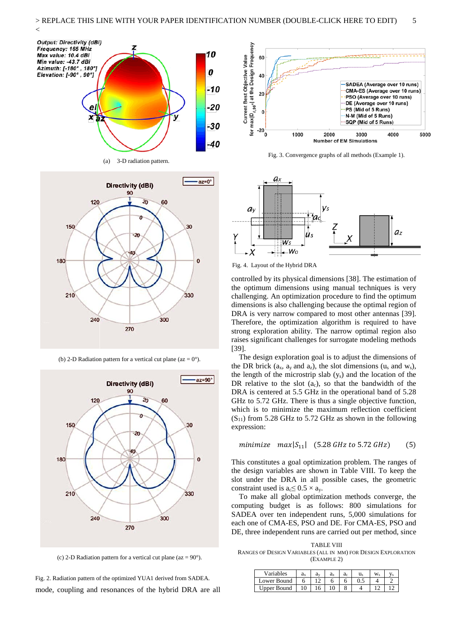





(b) 2-D Radiation pattern for a vertical cut plane (az =  $0^{\circ}$ ).



(c) 2-D Radiation pattern for a vertical cut plane (az =  $90^{\circ}$ ).

mode, coupling and resonances of the hybrid DRA are all Fig. 2. Radiation pattern of the optimized YUA1 derived from SADEA.



Fig. 3. Convergence graphs of all methods (Example 1).



Fig. 4. Layout of the Hybrid DRA

controlled by its physical dimensions [38]. The estimation of the optimum dimensions using manual techniques is very challenging. An optimization procedure to find the optimum dimensions is also challenging because the optimal region of DRA is very narrow compared to most other antennas [39]. Therefore, the optimization algorithm is required to have strong exploration ability. The narrow optimal region also raises significant challenges for surrogate modeling methods [39].

The design exploration goal is to adjust the dimensions of the DR brick  $(a_x, a_y \text{ and } a_z)$ , the slot dimensions  $(u_s \text{ and } w_s)$ , the length of the microstrip slab (ys) and the location of the DR relative to the slot  $(a<sub>c</sub>)$ , so that the bandwidth of the DRA is centered at 5.5 GHz in the operational band of 5.28 GHz to 5.72 GHz. There is thus a single objective function, which is to minimize the maximum reflection coefficient  $(S_{11})$  from 5.28 GHz to 5.72 GHz as shown in the following expression:

 $minimize \, max|S_{11}|$  (5.28 GHz to 5.72 GHz) (5)

This constitutes a goal optimization problem. The ranges of the design variables are shown in Table VIII. To keep the slot under the DRA in all possible cases, the geometric constraint used is  $a_c \leq 0.5 \times a_v$ .

To make all global optimization methods converge, the computing budget is as follows: 800 simulations for SADEA over ten independent runs, 5,000 simulations for each one of CMA-ES, PSO and DE. For CMA-ES, PSO and DE, three independent runs are carried out per method, since

TABLE VIII RANGES OF DESIGN VARIABLES (ALL IN MM) FOR DESIGN EXPLORATION (EXAMPLE 2)

| Variables   | ച<br>av |  | я |  |  |
|-------------|---------|--|---|--|--|
| Lower Bound |         |  |   |  |  |
| Upper Bound |         |  |   |  |  |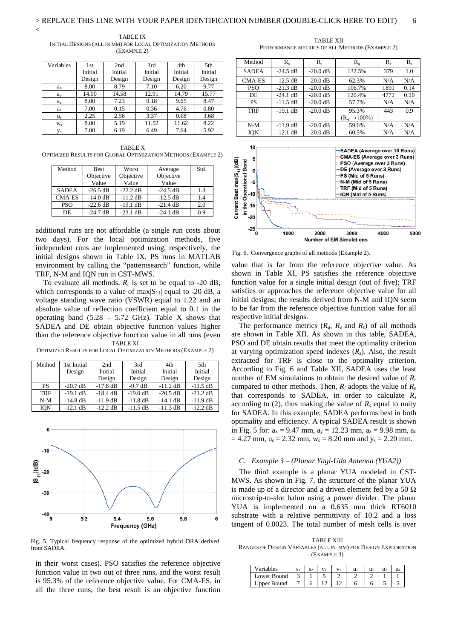$\overline{<}$ 

TABLE IX INITIAL DESIGNS (ALL IN MM) FOR LOCAL OPTIMIZATION METHODS (EXAMPLE 2)

| Variables      | 1st     | 2nd     | 3rd     | 4th     | 5th     |
|----------------|---------|---------|---------|---------|---------|
|                | Initial | Initial | Initial | Initial | Initial |
|                | Design  | Design  | Design  | Design  | Design  |
| $a_x$          | 8.00    | 8.79    | 7.10    | 6.20    | 9.77    |
| $a_{v}$        | 14.00   | 14.58   | 12.91   | 14.79   | 15.77   |
| $a_{z}$        | 8.00    | 7.23    | 9.18    | 9.65    | 8.47    |
| a <sub>c</sub> | 7.00    | 0.15    | 0.36    | 4.76    | 0.80    |
| $u_{s}$        | 2.25    | 2.56    | 3.37    | 0.68    | 3.68    |
| $W_{S}$        | 8.00    | 5.19    | 11.52   | 11.62   | 8.22    |
| $y_{s}$        | 7.00    | 6.19    | 6.49    | 7.64    | 5.92    |

TABLE X OPTIMIZED RESULTS FOR GLOBAL OPTIMIZATION METHODS (EXAMPLE 2)

| Method       | <b>Best</b> | Worst      | Average    | Std. |
|--------------|-------------|------------|------------|------|
|              | Objective   | Objective  | Objective  |      |
|              | Value       | Value      | Value      |      |
| <b>SADEA</b> | $-26.5$ dB  | $-22.2$ dB | $-24.5$ dB | 1.3  |
| $CMA-ES$     | $-14.0$ dB  | $-11.2$ dB | $-12.5$ dB | 1.4  |
| <b>PSO</b>   | $-22.6$ dB  | $-19.1$ dB | $-21.4$ dB | 2.0  |
| DE.          | $-24.7$ dB  | $-23.1$ dB | $-24.1$ dB | 0.9  |

additional runs are not affordable (a single run costs about two days). For the local optimization methods, five independent runs are implemented using, respectively, the initial designs shown in Table IX. PS runs in MATLAB environment by calling the "patternsearch" function, while TRF, N-M and IQN run in CST-MWS.

To evaluate all methods,  $R_r$  is set to be equal to -20 dB, which corresponds to a value of  $max|S_{11}|$  equal to -20 dB, a voltage standing wave ratio (VSWR) equal to 1.22 and an absolute value of reflection coefficient equal to 0.1 in the operating band  $(5.28 - 5.72 \text{ GHz})$ . Table X shows that SADEA and DE obtain objective function values higher than the reference objective function value in all runs (even TABLE XI

OPTIMIZED RESULTS FOR LOCAL OPTIMIZATION METHODS (EXAMPLE 2)

| Method     | 1st Initial | 2nd        | 3rd        | 4th        | 5th        |
|------------|-------------|------------|------------|------------|------------|
|            | Design      | Initial    | Initial    | Initial    | Initial    |
|            |             | Design     | Design     | Design     | Design     |
| <b>PS</b>  | $-20.7$ dB  | $-17.8$ dB | $-9.7$ dB  | $-11.2$ dB | $-11.5$ dB |
| <b>TRF</b> | $-19.1$ dB  | $-18.4$ dB | $-19.0$ dB | $-20.5$ dB | $-21.2$ dB |
| $N-M$      | $-14.8$ dB  | $-11.9$ dB | $-11.8$ dB | $-14.1$ dB | $-11.9$ dB |
| <b>ION</b> | $-12.1$ dB  | $-12.2$ dB | $-11.5$ dB | $-11.3$ dB | $-12.2$ dB |



Fig. 5. Typical frequency response of the optimized hybrid DRA derived from SADEA.

in their worst cases). PSO satisfies the reference objective function value in two out of three runs, and the worst result is 95.3% of the reference objective value. For CMA-ES, in all the three runs, the best result is an objective function

TABLE XII PERFORMANCE METRICS OF ALL METHODS (EXAMPLE 2)

| Method        | $R_{\alpha}$       | $R_r$              | $R_{q}$                  | $R_e$ | $R_{s}$ |
|---------------|--------------------|--------------------|--------------------------|-------|---------|
| <b>SADEA</b>  | $-24.5$ dB         | $-20.0$ dB         | 132.5%                   | 379   | 1.0     |
| <b>CMA-ES</b> | $-12.5$ dB         | $-20.0$ dB         | 62.3%                    | N/A   | N/A     |
| <b>PSO</b>    | $-21.3 \text{ dB}$ | $-20.0 \text{ dB}$ | 106.7%                   | 1891  | 0.14    |
| DE            | $-24.1$ dB         | $-20.0$ dB         | 120.4%                   | 4772  | 0.20    |
| PS            | $-11.5$ dB         | $-20.0$ dB         | 57.7%                    | N/A   | N/A     |
| <b>TRF</b>    | $-19.1$ dB         | $-20.0$ dB         | 95.3%                    | 443   | 0.9     |
|               |                    |                    | $(Ra \rightarrow 100\%)$ |       |         |
| $N-M$         | $-11.9$ dB         | $-20.0$ dB         | 59.6%                    | N/A   | N/A     |
| ION           | $-12.1$ dB         | $-20.0$ dB         | 60.5%                    | N/A   | N/A     |



Fig. 6. Convergence graphs of all methods (Example 2).

value that is far from the reference objective value. As shown in Table XI, PS satisfies the reference objective function value for a single initial design (out of five); TRF satisfies or approaches the reference objective value for all initial designs; the results derived from N-M and IQN seem to be far from the reference objective function value for all respective initial designs.

The performance metrics  $(R_q, R_e \text{ and } R_s)$  of all methods are shown in Table XII. As shown in this table, SADEA, PSO and DE obtain results that meet the optimality criterion at varying optimization speed indexes (*Rs*). Also, the result extracted for TRF is close to the optimality criterion. According to Fig. 6 and Table XII, SADEA uses the least number of EM simulations to obtain the desired value of *Rr* compared to other methods. Then, *Ri* adopts the value of *Re* that corresponds to SADEA, in order to calculate  $R_s$ according to (2), thus making the value of  $R_s$  equal to unity for SADEA. In this example, SADEA performs best in both optimality and efficiency. A typical SADEA result is shown in Fig. 5 for:  $a_x = 9.47$  mm,  $a_y = 12.23$  mm,  $a_z = 9.98$  mm,  $a_c$  $= 4.27$  mm,  $u_s = 2.32$  mm,  $w_s = 8.20$  mm and  $y_s = 2.20$  mm.

# *C. Example 3 – (Planar Yagi-Uda Antenna (YUA2))*

The third example is a planar YUA modeled in CST-MWS. As shown in Fig. 7, the structure of the planar YUA is made up of a director and a driven element fed by a 50  $\Omega$ microstrip-to-slot balun using a power divider. The planar YUA is implemented on a 0.635 mm thick RT6010 substrate with a relative permittivity of 10.2 and a loss tangent of 0.0023. The total number of mesh cells is over

TABLE XIII RANGES OF DESIGN VARIABLES (ALL IN MM) FOR DESIGN EXPLORATION (EXAMPLE 3)

| <i>V</i> ariables |  |  | u. |  |
|-------------------|--|--|----|--|
| Lower Bound       |  |  |    |  |
| Upper Bound       |  |  |    |  |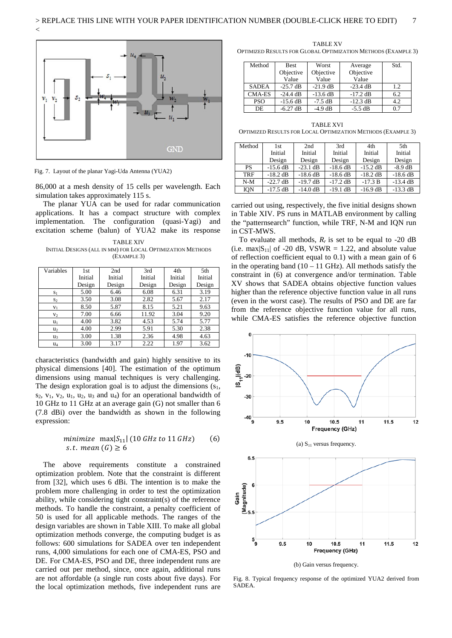

Fig. 7. Layout of the planar Yagi-Uda Antenna (YUA2)

86,000 at a mesh density of 15 cells per wavelength. Each simulation takes approximately 115 s.

The planar YUA can be used for radar communication applications. It has a compact structure with complex implementation. The configuration (quasi-Yagi) and excitation scheme (balun) of YUA2 make its response

TABLE XIV INITIAL DESIGNS (ALL IN MM) FOR LOCAL OPTIMIZATION METHODS (EXAMPLE 3)

| Variables      | 1st     | 2 <sub>nd</sub> | 3rd     | 4th     | 5th     |
|----------------|---------|-----------------|---------|---------|---------|
|                | Initial | Initial         | Initial | Initial | Initial |
|                | Design  | Design          | Design  | Design  | Design  |
| $S_1$          | 5.00    | 6.46            | 6.08    | 6.31    | 3.19    |
| $S_2$          | 3.50    | 3.08            | 2.82    | 5.67    | 2.17    |
| $V_1$          | 8.50    | 5.87            | 8.15    | 5.21    | 9.63    |
| V <sub>2</sub> | 7.00    | 6.66            | 11.92   | 3.04    | 9.20    |
| $u_1$          | 4.00    | 3.82            | 4.53    | 5.74    | 5.77    |
| u <sub>2</sub> | 4.00    | 2.99            | 5.91    | 5.30    | 2.38    |
| u <sub>3</sub> | 3.00    | 1.38            | 2.36    | 4.98    | 4.63    |
| $u_4$          | 3.00    | 3.17            | 2.22    | 1.97    | 3.62    |

characteristics (bandwidth and gain) highly sensitive to its physical dimensions [40]. The estimation of the optimum dimensions using manual techniques is very challenging. The design exploration goal is to adjust the dimensions  $(s_1,$  $s_2$ ,  $v_1$ ,  $v_2$ ,  $u_1$ ,  $u_2$ ,  $u_3$  and  $u_4$ ) for an operational bandwidth of 10 GHz to 11 GHz at an average gain (G) not smaller than 6 (7.8 dBi) over the bandwidth as shown in the following expression:

# minimize  $\max|S_{11}|$  (10 GHz to 11 GHz) (6) s.t. mean  $(G) \geq 6$

The above requirements constitute a constrained optimization problem. Note that the constraint is different from [32], which uses 6 dBi. The intention is to make the problem more challenging in order to test the optimization ability, while considering tight constraint(s) of the reference methods. To handle the constraint, a penalty coefficient of 50 is used for all applicable methods. The ranges of the design variables are shown in Table XIII. To make all global optimization methods converge, the computing budget is as follows: 600 simulations for SADEA over ten independent runs, 4,000 simulations for each one of CMA-ES, PSO and DE. For CMA-ES, PSO and DE, three independent runs are carried out per method, since, once again, additional runs are not affordable (a single run costs about five days). For the local optimization methods, five independent runs are

TABLE XV OPTIMIZED RESULTS FOR GLOBAL OPTIMIZATION METHODS (EXAMPLE 3)

| Method       | <b>Best</b> | Worst      | Average    | Std. |
|--------------|-------------|------------|------------|------|
|              | Objective   | Objective  | Objective  |      |
|              | Value       | Value      | Value      |      |
| <b>SADEA</b> | $-25.7$ dB  | $-21.9$ dB | $-23.4$ dB | 1.2  |
| CMA-ES       | $-24.4$ dB  | $-13.6$ dB | $-17.2$ dB | 6.2  |
| <b>PSO</b>   | $-15.6$ dB  | $-7.5$ dB  | $-12.3$ dB | 4.2  |
| DE.          | $-6.27$ dB  | $-4.9$ dB  | $-5.5$ dB  | 0.7  |

TARI F XVI OPTIMIZED RESULTS FOR LOCAL OPTIMIZATION METHODS (EXAMPLE 3)

| Method     | 1st.       | 2nd        | 3rd        | 4th        | 5th        |
|------------|------------|------------|------------|------------|------------|
|            | Initial    | Initial    | Initial    | Initial    | Initial    |
|            | Design     | Design     | Design     | Design     | Design     |
| <b>PS</b>  | $-15.6$ dB | $-23.1$ dB | $-18.6$ dB | $-15.2$ dB | $-8.9$ dB  |
| <b>TRF</b> | $-18.2$ dB | $-18.6$ dB | $-18.6$ dB | $-18.2$ dB | $-18.6$ dB |
| $N-M$      | $-22.7$ dB | $-19.7$ dB | $-17.2$ dB | $-17.3 B$  | $-13.4$ dB |
| <b>ION</b> | $-17.5$ dB | $-14.0$ dB | $-19.1$ dB | $-16.9$ dB | $-13.3$ dB |

carried out using, respectively, the five initial designs shown in Table XIV. PS runs in MATLAB environment by calling the "patternsearch" function, while TRF, N-M and IQN run in CST-MWS.

To evaluate all methods,  $R_r$  is set to be equal to -20 dB (i.e. max $|S_{11}|$  of -20 dB, VSWR = 1.22, and absolute value of reflection coefficient equal to 0.1) with a mean gain of 6 in the operating band  $(10 - 11 \text{ GHz})$ . All methods satisfy the constraint in (6) at convergence and/or termination. Table XV shows that SADEA obtains objective function values higher than the reference objective function value in all runs (even in the worst case). The results of PSO and DE are far from the reference objective function value for all runs, while CMA-ES satisfies the reference objective function



Fig. 8. Typical frequency response of the optimized YUA2 derived from SADEA.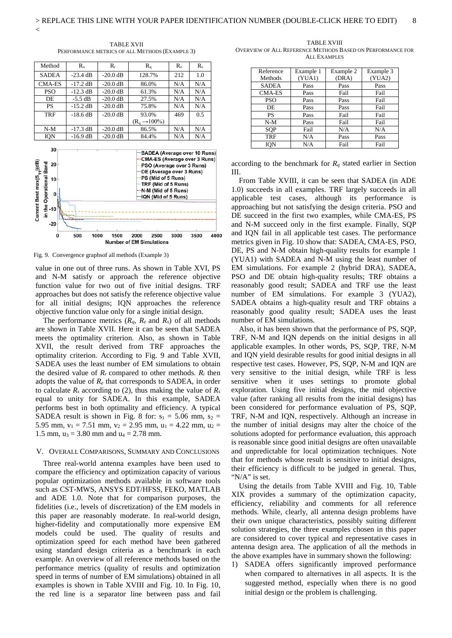$\overline{<}$ 

TABLE XVII PERFORMANCE METRICS OF ALL METHODS (EXAMPLE 3)

| Method       | $R_{\alpha}$ | $R_r$      | $R_{q}$                  | $R_{\rm e}$ | $R_{s}$ |
|--------------|--------------|------------|--------------------------|-------------|---------|
| <b>SADEA</b> | $-23.4$ dB   | $-20.0$ dB | 128.7%                   | 212         | 1.0     |
| CMA-ES       | $-17.2$ dB   | $-20.0$ dB | 86.0%                    | N/A         | N/A     |
| <b>PSO</b>   | $-12.3$ dB   | $-20.0$ dB | 61.3%                    | N/A         | N/A     |
| DE           | $-5.5$ dB    | $-20.0$ dB | 27.5%                    | N/A         | N/A     |
| <b>PS</b>    | $-15.2$ dB   | $-20.0$ dB | 75.8%                    | N/A         | N/A     |
| <b>TRF</b>   | $-18.6$ dB   | $-20.0$ dB | 93.0%                    | 469         | 0.5     |
|              |              |            | $(Ra \rightarrow 100\%)$ |             |         |
| $N-M$        | $-17.3$ dB   | $-20.0$ dB | 86.5%                    | N/A         | N/A     |
| IQN          | $-16.9$ dB   | $-20.0$ dB | 84.4%                    | N/A         | N/A     |



Fig. 9. Convergence graphsof all methods (Example 3)

value in one out of three runs. As shown in Table XVI, PS and N-M satisfy or approach the reference objective function value for two out of five initial designs. TRF approaches but does not satisfy the reference objective value for all initial designs; IQN approaches the reference objective function value only for a single initial design.

The performance metrics  $(R_q, R_e \text{ and } R_s)$  of all methods are shown in Table XVII. Here it can be seen that SADEA meets the optimality criterion. Also, as shown in Table XVII, the result derived from TRF approaches the optimality criterion. According to Fig. 9 and Table XVII, SADEA uses the least number of EM simulations to obtain the desired value of  $R_r$  compared to other methods.  $R_i$  then adopts the value of *Re* that corresponds to SADEA, in order to calculate  $R_s$  according to (2), thus making the value of  $R_s$ equal to unity for SADEA. In this example, SADEA performs best in both optimality and efficiency. A typical SADEA result is shown in Fig. 8 for:  $s_1 = 5.06$  mm,  $s_2 =$ 5.95 mm,  $v_1 = 7.51$  mm,  $v_2 = 2.95$  mm,  $u_1 = 4.22$  mm,  $u_2 =$ 1.5 mm,  $u_3 = 3.80$  mm and  $u_4 = 2.78$  mm.

# V. OVERALL COMPARISONS, SUMMARY AND CONCLUSIONS

Three real-world antenna examples have been used to compare the efficiency and optimization capacity of various popular optimization methods available in software tools such as CST-MWS, ANSYS EDT/HFSS, FEKO, MATLAB and ADE 1.0. Note that for comparison purposes, the fidelities (i.e., levels of discretization) of the EM models in this paper are reasonably moderate. In real-world design, higher-fidelity and computationally more expensive EM models could be used. The quality of results and optimization speed for each method have been gathered using standard design criteria as a benchmark in each example. An overview of all reference methods based on the performance metrics (quality of results and optimization speed in terms of number of EM simulations) obtained in all examples is shown in Table XVIII and Fig. 10. In Fig. 10, the red line is a separator line between pass and fail

TABLE XVIII OVERVIEW OF ALL REFERENCE METHODS BASED ON PERFORMANCE FOR ALL EXAMPLES

| Reference     | Example 1 | Example 2 | Example 3 |
|---------------|-----------|-----------|-----------|
| Methods       | (YUA1)    | (DRA)     | (YUA2)    |
| <b>SADEA</b>  | Pass      | Pass      | Pass      |
| <b>CMA-ES</b> | Pass      | Fail      | Fail      |
| PSO           | Pass      | Pass      | Fail      |
| DE.           | Pass      | Pass      | Fail      |
| <b>PS</b>     | Pass      | Fail      | Fail      |
| N-M           | Pass      | Fail      | Fail      |
| <b>SOP</b>    | Fail      | N/A       | N/A       |
| <b>TRF</b>    | N/A       | Pass      | Pass      |
| ION           | N/A       | Fail      | Fail      |

according to the benchmark for  $R_q$  stated earlier in Section III.

From Table XVIII, it can be seen that SADEA (in ADE 1.0) succeeds in all examples. TRF largely succeeds in all applicable test cases, although its performance is approaching but not satisfying the design criteria. PSO and DE succeed in the first two examples, while CMA-ES, PS and N-M succeed only in the first example. Finally, SQP and IQN fail in all applicable test cases. The performance metrics given in Fig. 10 show that: SADEA, CMA-ES, PSO, DE, PS and N-M obtain high-quality results for example 1 (YUA1) with SADEA and N-M using the least number of EM simulations. For example 2 (hybrid DRA), SADEA, PSO and DE obtain high-quality results; TRF obtains a reasonably good result; SADEA and TRF use the least number of EM simulations. For example 3 (YUA2), SADEA obtains a high-quality result and TRF obtains a reasonably good quality result; SADEA uses the least number of EM simulations.

Also, it has been shown that the performance of PS, SQP, TRF, N-M and IQN depends on the initial designs in all applicable examples. In other words, PS, SQP, TRF, N-M and IQN yield desirable results for good initial designs in all respective test cases. However, PS, SQP, N-M and IQN are very sensitive to the initial design, while TRF is less sensitive when it uses settings to promote global exploration. Using five initial designs, the mid objective value (after ranking all results from the initial designs) has been considered for performance evaluation of PS, SQP, TRF, N-M and IQN, respectively. Although an increase in the number of initial designs may alter the choice of the solutions adopted for performance evaluation, this approach is reasonable since good initial designs are often unavailable and unpredictable for local optimization techniques. Note that for methods whose result is sensitive to initial designs, their efficiency is difficult to be judged in general. Thus, "N/A" is set.

Using the details from Table XVIII and Fig. 10, Table XIX provides a summary of the optimization capacity, efficiency, reliability and comments for all reference methods. While, clearly, all antenna design problems have their own unique characteristics, possibly suiting different solution strategies, the three examples chosen in this paper are considered to cover typical and representative cases in antenna design area. The application of all the methods in the above examples have in summary shown the following:

1) SADEA offers significantly improved performance when compared to alternatives in all aspects. It is the suggested method, especially when there is no good initial design or the problem is challenging.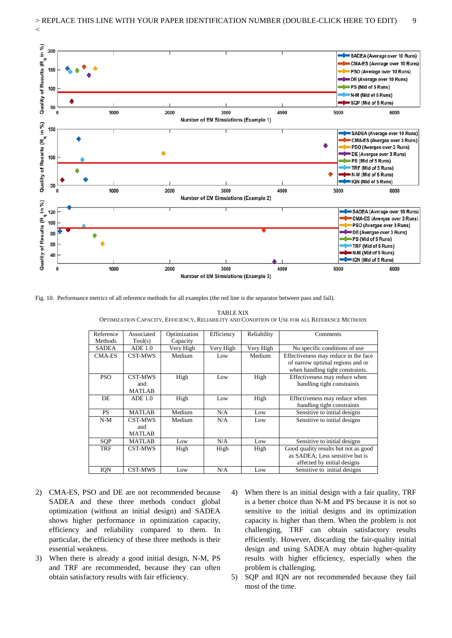

Fig. 10. Performance metrics of all reference methods for all examples (the red line is the separator between pass and fail).

TABLE XIX OPTIMIZATION CAPACITY, EFFICIENCY, RELIABILITY AND CONDITION OF USE FOR ALL REFERENCE METHODS

| Reference      | Associated                      | Optimization | Efficiency | Reliability | Comments                                                                                                     |
|----------------|---------------------------------|--------------|------------|-------------|--------------------------------------------------------------------------------------------------------------|
| <b>Methods</b> | Tool(s)                         | Capacity     |            |             |                                                                                                              |
| <b>SADEA</b>   | ADE 1.0                         | Very High    | Very High  | Very High   | No specific conditions of use                                                                                |
| <b>CMA-ES</b>  | CST-MWS                         | Medium       | Low        | Medium      | Effectiveness may reduce in the face<br>of narrow optimal regions and or<br>when handling tight constraints. |
| <b>PSO</b>     | CST-MWS<br>and<br><b>MATLAB</b> | High         | Low        | High        | Effectiveness may reduce when<br>handling tight constraints                                                  |
| DE             | ADE 1.0                         | High         | Low        | High        | Effectiveness may reduce when<br>handling tight constraints                                                  |
| <b>PS</b>      | <b>MATLAB</b>                   | Medium       | N/A        | Low         | Sensitive to initial designs                                                                                 |
| $N-M$          | CST-MWS<br>and<br><b>MATLAB</b> | Medium       | N/A        | Low         | Sensitive to initial designs                                                                                 |
| SQP            | <b>MATLAB</b>                   | Low          | N/A        | Low         | Sensitive to initial designs                                                                                 |
| <b>TRF</b>     | CST-MWS                         | High         | High       | High        | Good quality results but not as good<br>as SADEA; Less sensitive but is<br>affected by initial designs       |
| IQN            | CST-MWS                         | Low          | N/A        | Low         | Sensitive to initial designs                                                                                 |

- 2) CMA-ES, PSO and DE are not recommended because SADEA and these three methods conduct global optimization (without an initial design) and SADEA shows higher performance in optimization capacity, efficiency and reliability compared to them. In particular, the efficiency of these three methods is their essential weakness.
- 3) When there is already a good initial design, N-M, PS and TRF are recommended, because they can often obtain satisfactory results with fair efficiency.
- 4) When there is an initial design with a fair quality, TRF is a better choice than N-M and PS because it is not so sensitive to the initial designs and its optimization capacity is higher than them. When the problem is not challenging, TRF can obtain satisfactory results efficiently. However, discarding the fair-quality initial design and using SADEA may obtain higher-quality results with higher efficiency, especially when the problem is challenging.
- 5) SQP and IQN are not recommended because they fail most of the time.